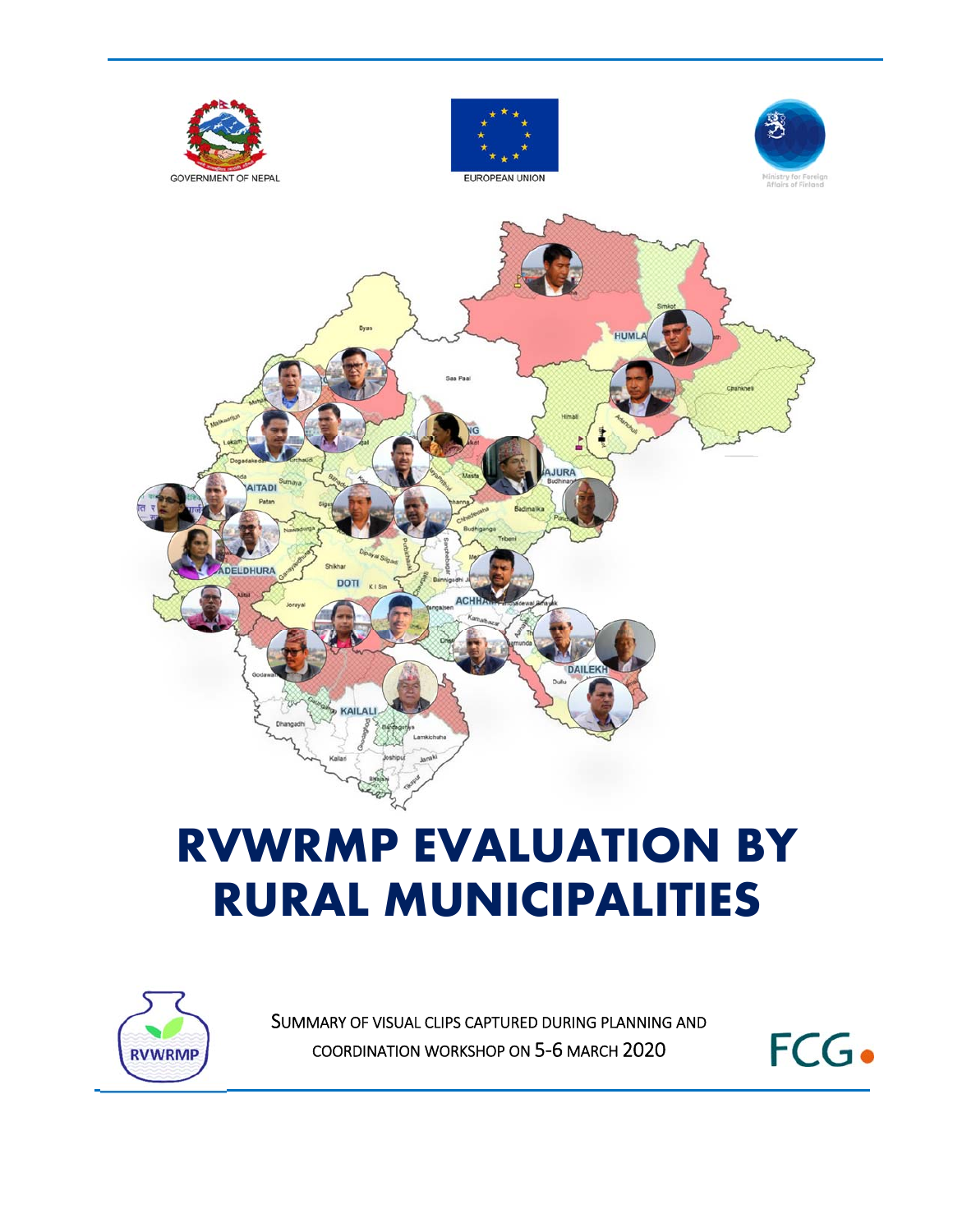

# **RVWRMP EVALUATION BY RURAL MUNICIPALITIES**



SUMMARY OF VISUAL CLIPS CAPTURED DURING PLANNING AND COORDINATION WORKSHOP ON 5‐6 MARCH 2020

FCG.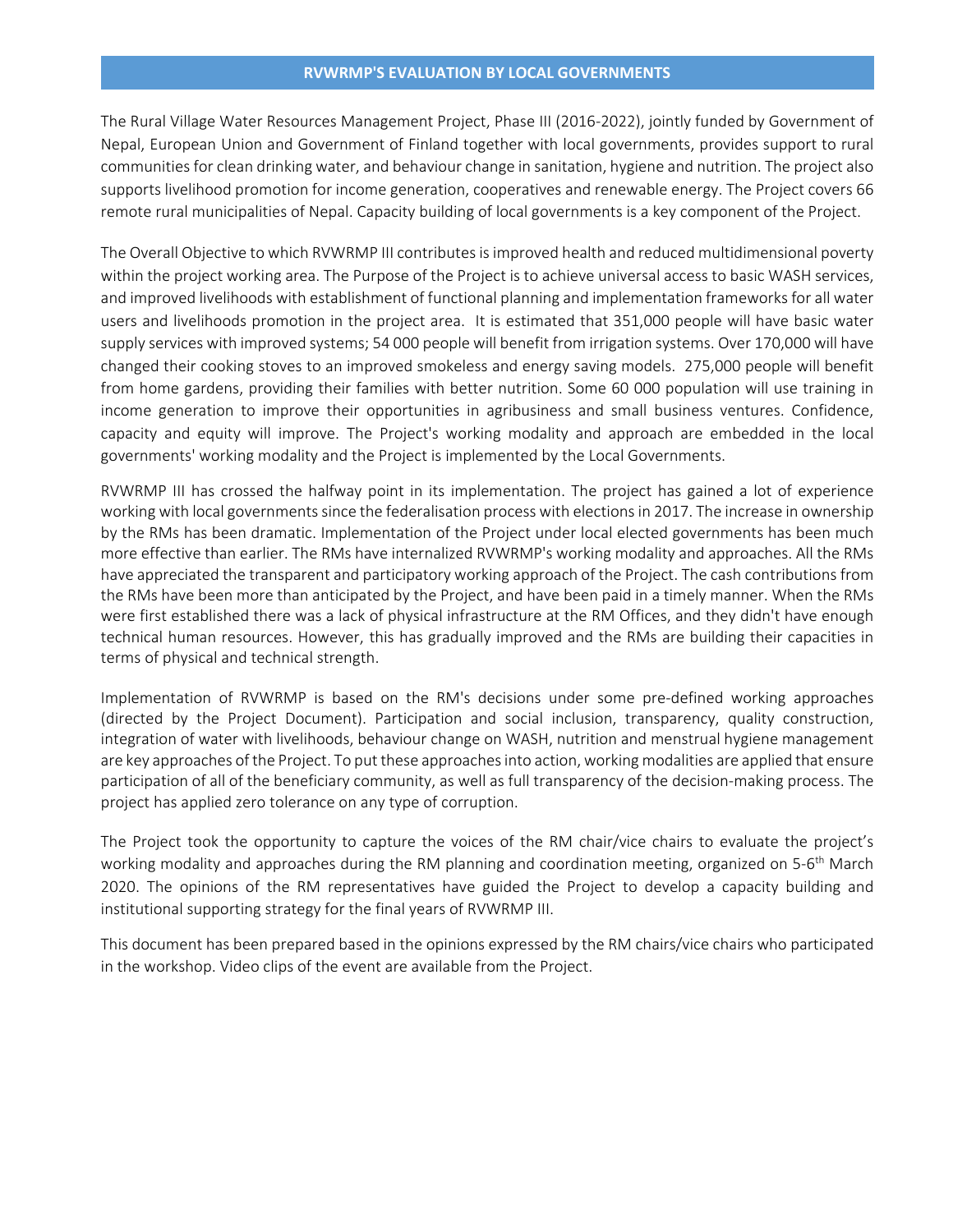The Rural Village Water Resources Management Project, Phase III (2016‐2022), jointly funded by Government of Nepal, European Union and Government of Finland together with local governments, provides support to rural communities for clean drinking water, and behaviour change in sanitation, hygiene and nutrition. The project also supports livelihood promotion for income generation, cooperatives and renewable energy. The Project covers 66 remote rural municipalities of Nepal. Capacity building of local governments is a key component of the Project.

The Overall Objective to which RVWRMP III contributes is improved health and reduced multidimensional poverty within the project working area. The Purpose of the Project is to achieve universal access to basic WASH services, and improved livelihoods with establishment of functional planning and implementation frameworks for all water users and livelihoods promotion in the project area. It is estimated that 351,000 people will have basic water supply services with improved systems; 54 000 people will benefit from irrigation systems. Over 170,000 will have changed their cooking stoves to an improved smokeless and energy saving models. 275,000 people will benefit from home gardens, providing their families with better nutrition. Some 60 000 population will use training in income generation to improve their opportunities in agribusiness and small business ventures. Confidence, capacity and equity will improve. The Project's working modality and approach are embedded in the local governments' working modality and the Project is implemented by the Local Governments.

RVWRMP III has crossed the halfway point in its implementation. The project has gained a lot of experience working with local governments since the federalisation process with elections in 2017. The increase in ownership by the RMs has been dramatic. Implementation of the Project under local elected governments has been much more effective than earlier. The RMs have internalized RVWRMP's working modality and approaches. All the RMs have appreciated the transparent and participatory working approach of the Project. The cash contributions from the RMs have been more than anticipated by the Project, and have been paid in a timely manner. When the RMs were first established there was a lack of physical infrastructure at the RM Offices, and they didn't have enough technical human resources. However, this has gradually improved and the RMs are building their capacities in terms of physical and technical strength.

Implementation of RVWRMP is based on the RM's decisions under some pre‐defined working approaches (directed by the Project Document). Participation and social inclusion, transparency, quality construction, integration of water with livelihoods, behaviour change on WASH, nutrition and menstrual hygiene management are key approaches of the Project. To put these approaches into action, working modalities are applied that ensure participation of all of the beneficiary community, as well as full transparency of the decision-making process. The project has applied zero tolerance on any type of corruption.

The Project took the opportunity to capture the voices of the RM chair/vice chairs to evaluate the project's working modality and approaches during the RM planning and coordination meeting, organized on 5‐6<sup>th</sup> March 2020. The opinions of the RM representatives have guided the Project to develop a capacity building and institutional supporting strategy for the final years of RVWRMP III.

This document has been prepared based in the opinions expressed by the RM chairs/vice chairs who participated in the workshop. Video clips of the event are available from the Project.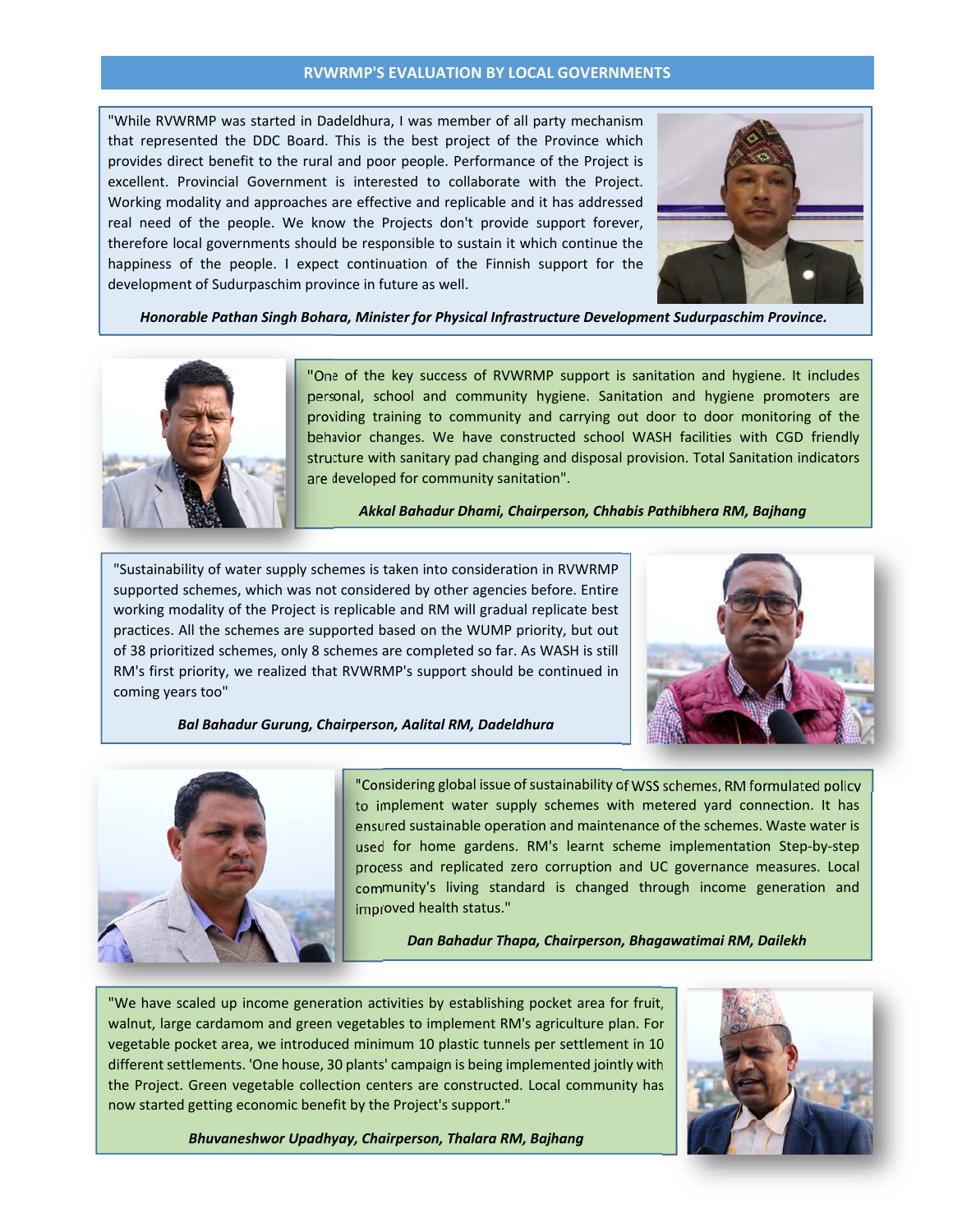"While RVWRMP was started in Dadeldhura, I was member of all party mechanism that represented the DDC Board. This is the best project of the Province which provides direct benefit to the rural and poor people. Performance of the Project is excellent. Provincial Government is interested to collaborate with the Project. Working modality and approaches are effective and replicable and it has addressed real need of the people. We know the Projects don't provide support forever, therefore local governments should be responsible to sustain it which continue the happiness of the people. I expect continuation of the Finnish support for the development of Sudurpaschim province in future as well.



*Honorable Pathan Singh Bohara, Minister for Physical Infrastructure Development Sudurpaschim Province.*



"One of the key success of RVWRMP support is sanitation and hygiene. It includes personal, school and community hygiene. Sanitation and hygiene promoters are providing training to community and carrying out door to door monitoring of the behavior changes. We have constructed school WASH facilities with CGD friendly structure with sanitary pad changing and disposal provision. Total Sanitation indicators are developed for community sanitation".

*Akkal Bahadur Dhami, Chairperson, Chhabis Pathibhera RM, Bajhang*

"Sustainability of water supply schemes is taken into consideration in RVWRMP supported schemes, which was not considered by other agencies before. Entire working modality of the Project is replicable and RM will gradual replicate best practices. All the schemes are supported based on the WUMP priority, but out of 38 prioritized schemes, only 8 schemes are completed so far. As WASH is still RM's first priority, we realized that RVWRMP's support should be continued in coming years too"



*Bal Bahadur Gurung, Chairperson, Aalital RM, Dadeldhura*



"Considering global issue of sustainability of WSS schemes, RM formulated policy to implement water supply schemes with metered yard connection. It has ensured sustainable operation and maintenance of the schemes. Waste water is used for home gardens. RM's learnt scheme implementation Step-by-step process and replicated zero corruption and UC governance measures. Local community's living standard is changed through income generation and improved health status."

*Dan Bahadur Thapa, Chairperson, Bhagawatimai RM, Dailekh*

 "We have scaled up income generation activities by establishing pocket area for fruit, walnut, large cardamom and green vegetables to implement RM's agriculture plan. For vegetable pocket area, we introduced minimum 10 plastic tunnels per settlement in 10 different settlements. 'One house, 30 plants' campaign is being implemented jointly with the Project. Green vegetable collection centers are constructed. Local community has now started getting economic benefit by the Project's support."



*Bhuvaneshwor Upadhyay, Chairperson, Thalara RM, Bajhang*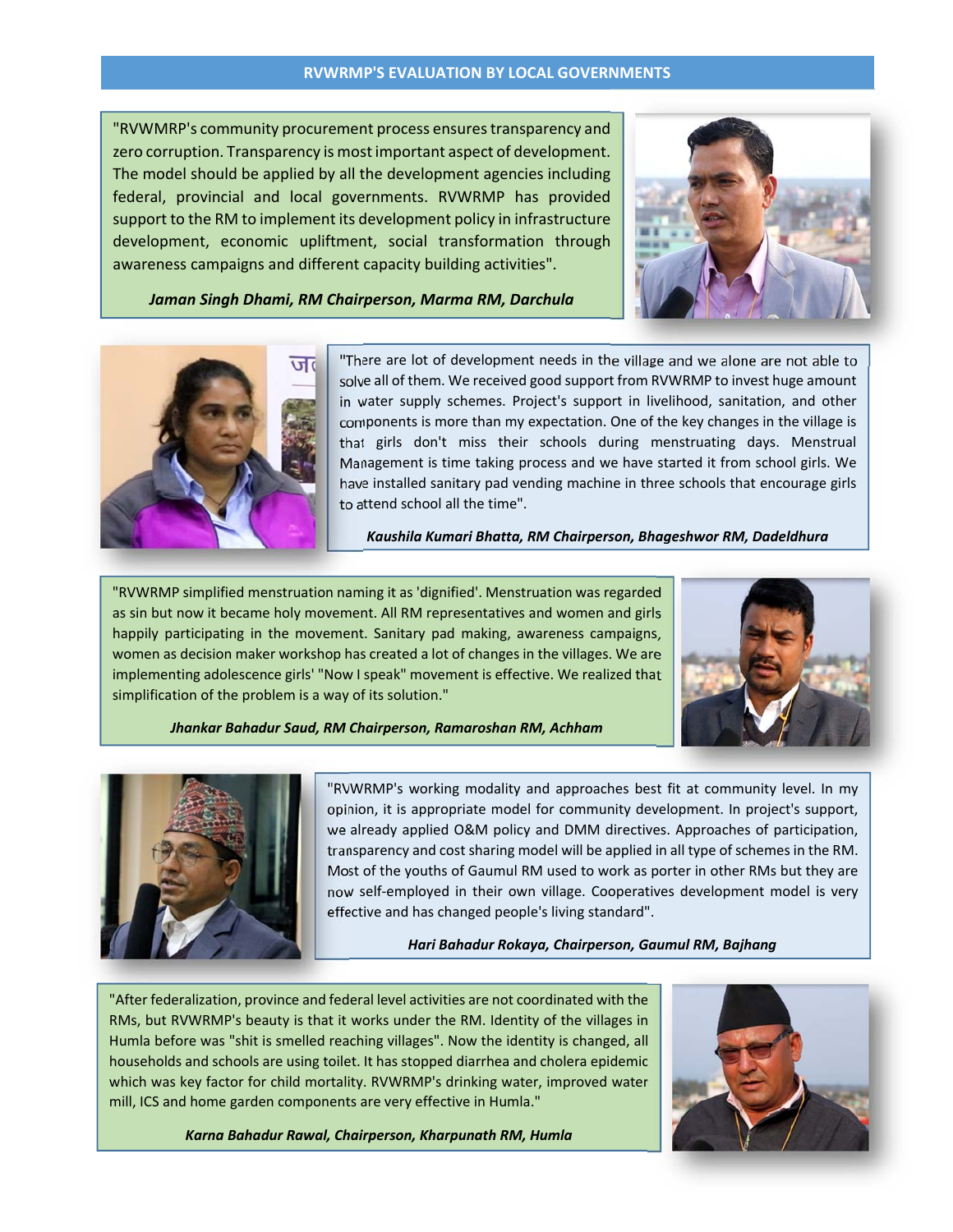"RVWMRP's community procurement process ensurestransparency and zero corruption. Transparency is most important aspect of development. The model should be applied by all the development agencies including federal, provincial and local governments. RVWRMP has provided support to the RM to implement its development policy in infrastructure development, economic upliftment, social transformation through awareness campaigns and different capacity building activities".



*Jaman Singh Dhami, RM Chairperson, Marma RM, Darchula*



"There are lot of development needs in the village and we alone are not able to solve all of them. We received good support from RVWRMP to invest huge amount in water supply schemes. Project's support in livelihood, sanitation, and other components is more than my expectation. One of the key changes in the village is that girls don't miss their schools during menstruating days. Menstrual Management is time taking process and we have started it from school girls. We have installed sanitary pad vending machine in three schools that encourage girls to attend school all the time".

*Kaushila Kumari Bhatta, RM Chairperson, Bhageshwor RM, Dadeldhura*

"RVWRMP simplified menstruation naming it as 'dignified'. Menstruation was regarded as sin but now it became holy movement. All RM representatives and women and girls happily participating in the movement. Sanitary pad making, awareness campaigns, women as decision maker workshop has created a lot of changes in the villages. We are implementing adolescence girls' "Now I speak" movement is effective. We realized that simplification of the problem is a way of its solution."



*Jhankar Bahadur Saud, RM Chairperson, Ramaroshan RM, Achham*



"RVWRMP's working modality and approaches best fit at community level. In my opinion, it is appropriate model for community development. In project's support, we already applied O&M policy and DMM directives. Approaches of participation, transparency and cost sharing model will be applied in all type of schemes in the RM. Most of the youths of Gaumul RM used to work as porter in other RMs but they are now self‐employed in their own village. Cooperatives development model is very effective and has changed people's living standard".

*Hari Bahadur Rokaya, Chairperson, Gaumul RM, Bajhang*

"After federalization, province and federal level activities are not coordinated with the RMs, but RVWRMP's beauty is that it works under the RM. Identity of the villages in Humla before was "shit is smelled reaching villages". Now the identity is changed, all households and schools are using toilet. It has stopped diarrhea and cholera epidemic which was key factor for child mortality. RVWRMP's drinking water, improved water mill, ICS and home garden components are very effective in Humla."



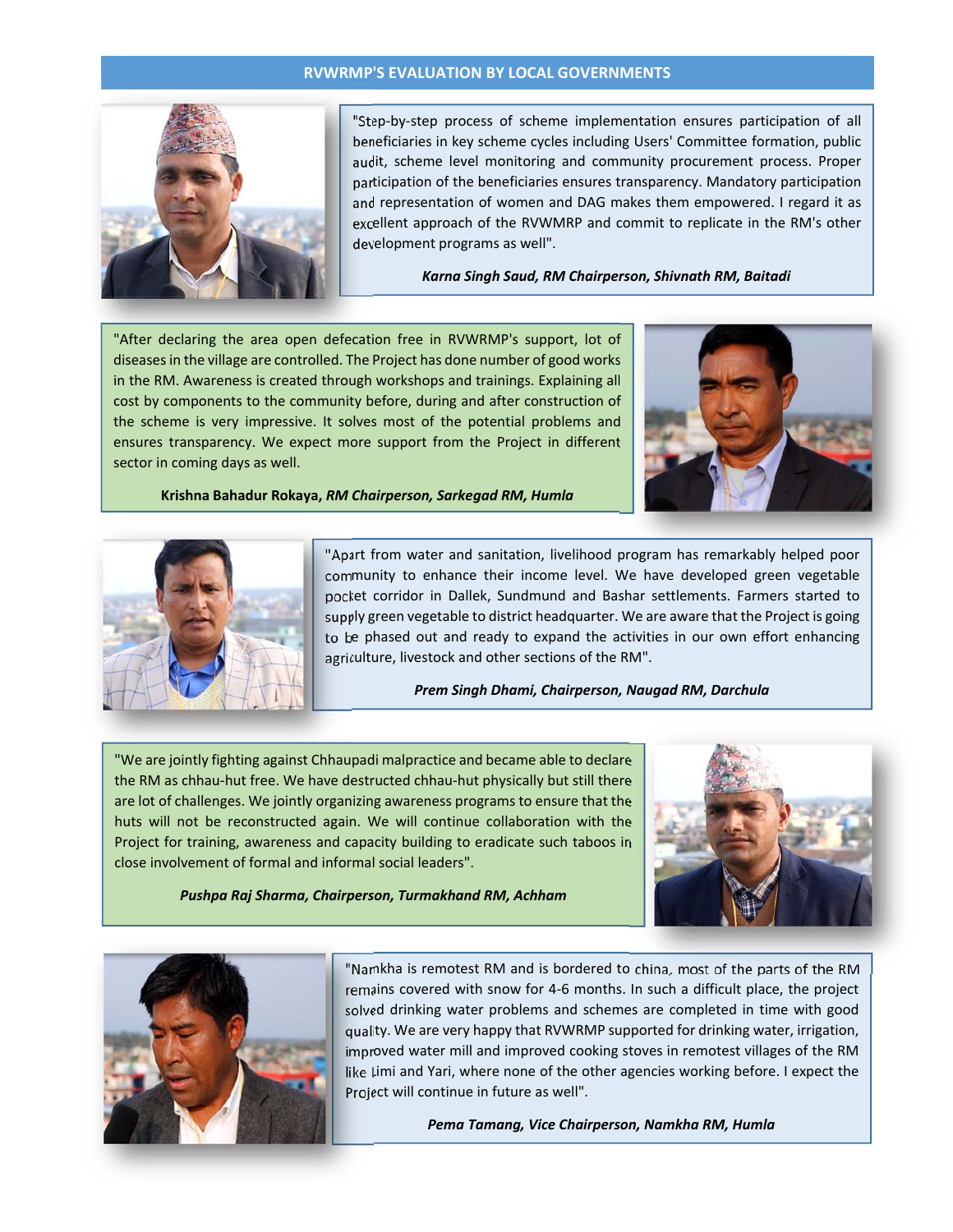

"Step‐by‐step process of scheme implementation ensures participation of all beneficiaries in key scheme cycles including Users' Committee formation, public audit, scheme level monitoring and community procurement process. Proper participation of the beneficiaries ensures transparency. Mandatory participation and representation of women and DAG makes them empowered. I regard it as excellent approach of the RVWMRP and commit to replicate in the RM's other development programs as well".

*Karna Singh Saud, RM Chairperson, Shivnath RM, Baitadi*

"After declaring the area open defecation free in RVWRMP's support, lot of diseasesin the village are controlled. The Project has done number of good works in the RM. Awareness is created through workshops and trainings. Explaining all cost by components to the community before, during and after construction of the scheme is very impressive. It solves most of the potential problems and ensures transparency. We expect more support from the Project in different sector in coming days as well.



**Krishna Bahadur Rokaya,** *RM Chairperson, Sarkegad RM, Humla*



"Apart from water and sanitation, livelihood program has remarkably helped poor community to enhance their income level. We have developed green vegetable pocket corridor in Dallek, Sundmund and Bashar settlements. Farmers started to supply green vegetable to district headquarter. We are aware that the Project is going to be phased out and ready to expand the activities in our own effort enhancing agriculture, livestock and other sections of the RM".

*Prem Singh Dhami, Chairperson, Naugad RM, Darchula*

"We are jointly fighting against Chhaupadi malpractice and became able to declare the RM as chhau‐hut free. We have destructed chhau‐hut physically but still there are lot of challenges. We jointly organizing awareness programs to ensure that the huts will not be reconstructed again. We will continue collaboration with the Project for training, awareness and capacity building to eradicate such taboos in close involvement of formal and informal social leaders".

*Pushpa Raj Sharma, Chairperson, Turmakhand RM, Achham*





"Namkha is remotest RM and is bordered to china, most of the parts of the RM remains covered with snow for 4‐6 months. In such a difficult place, the project solved drinking water problems and schemes are completed in time with good quality. We are very happy that RVWRMP supported for drinking water, irrigation, improved water mill and improved cooking stoves in remotest villages of the RM like Limi and Yari, where none of the other agencies working before. I expect the Project will continue in future as well".

*Pema Tamang, Vice Chairperson, Namkha RM, Humla*